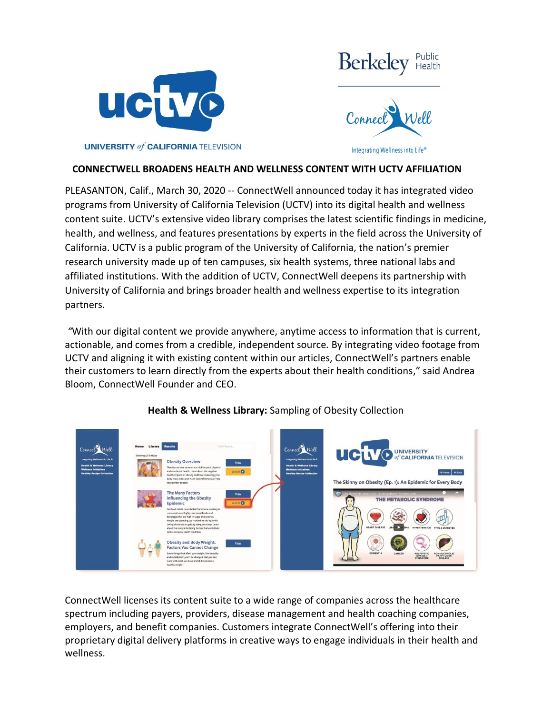



**UNIVERSITY of CALIFORNIA TELEVISION** 

### **CONNECTWELL BROADENS HEALTH AND WELLNESS CONTENT WITH UCTV AFFILIATION**

PLEASANTON, Calif., March 30, 2020 -- ConnectWell announced today it has integrated video programs from University of California Television (UCTV) into its digital health and wellness content suite. UCTV's extensive video library comprises the latest scientific findings in medicine, health, and wellness, and features presentations by experts in the field across the University of California. UCTV is a public program of the University of California, the nation's premier research university made up of ten campuses, six health systems, three national labs and affiliated institutions. With the addition of UCTV, ConnectWell deepens its partnership with University of California and brings broader health and wellness expertise to its integration partners.

*"*With our digital content we provide anywhere, anytime access to information that is current, actionable, and comes from a credible, independent source*.* By integrating video footage from UCTV and aligning it with existing content within our articles, ConnectWell's partners enable their customers to learn directly from the experts about their health conditions," said Andrea Bloom, ConnectWell Founder and CEO.



## **Health & Wellness Library:** Sampling of Obesity Collection

ConnectWell licenses its content suite to a wide range of companies across the healthcare spectrum including payers, providers, disease management and health coaching companies, employers, and benefit companies. Customers integrate ConnectWell's offering into their proprietary digital delivery platforms in creative ways to engage individuals in their health and wellness.